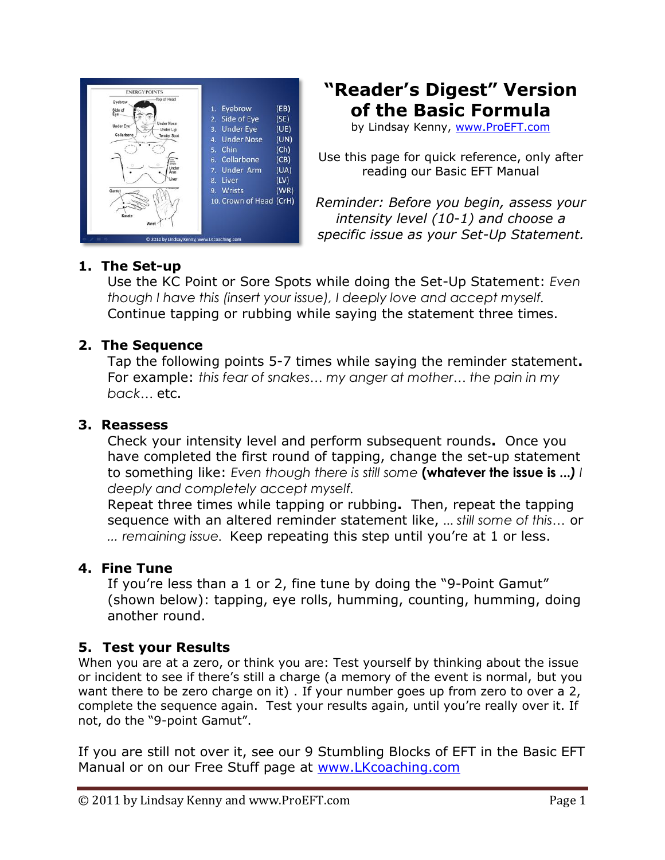

## **"Reader's Digest" Version of the Basic Formula**

by Lindsay Kenny, [www.ProEFT.com](http://www.proeft.com/)

Use this page for quick reference, only after reading our Basic EFT Manual

*Reminder: Before you begin, assess your intensity level (10-1) and choose a specific issue as your Set-Up Statement.*

## **1. The Set-up**

Use the KC Point or Sore Spots while doing the Set-Up Statement: *Even though I have this (insert your issue), I deeply love and accept myself.* Continue tapping or rubbing while saying the statement three times.

## **2. The Sequence**

Tap the following points 5-7 times while saying the reminder statement**.**  For example: *this fear of snakes… my anger at mother… the pain in my back…* etc.

#### **3. Reassess**

Check your intensity level and perform subsequent rounds**.** Once you have completed the first round of tapping, change the set-up statement to something like: *Even though there is still some* **(whatever the issue is ...***) I deeply and completely accept myself.*

Repeat three times while tapping or rubbing**.** Then, repeat the tapping sequence with an altered reminder statement like, ... *still some of this…* or *… remaining issue.* Keep repeating this step until you're at 1 or less.

#### **4. Fine Tune**

If you're less than a 1 or 2, fine tune by doing the "9-Point Gamut" (shown below): tapping, eye rolls, humming, counting, humming, doing another round.

## **5. Test your Results**

When you are at a zero, or think you are: Test yourself by thinking about the issue or incident to see if there's still a charge (a memory of the event is normal, but you want there to be zero charge on it) . If your number goes up from zero to over a 2, complete the sequence again. Test your results again, until you're really over it. If not, do the "9-point Gamut".

If you are still not over it, see our 9 Stumbling Blocks of EFT in the Basic EFT Manual or on our Free Stuff page at [www.LKcoaching.com](http://www.lkcoaching.com/)